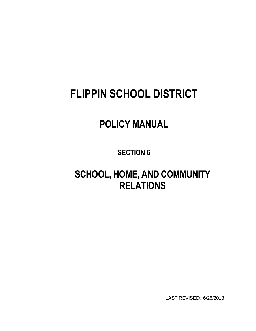# **FLIPPIN SCHOOL DISTRICT**

## **POLICY MANUAL**

**SECTION 6**

**SCHOOL, HOME, AND COMMUNITY RELATIONS**

LAST REVISED: 6/25/2018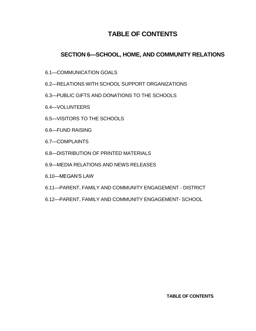## **TABLE OF CONTENTS**

## **SECTION 6—SCHOOL, HOME, AND COMMUNITY RELATIONS**

- 6.1—COMMUNICATION GOALS
- 6.2—RELATIONS WITH SCHOOL SUPPORT ORGANIZATIONS
- 6.3—PUBLIC GIFTS AND DONATIONS TO THE SCHOOLS
- 6.4—VOLUNTEERS
- 6.5—VISITORS TO THE SCHOOLS
- 6.6—FUND RAISING
- 6.7—COMPLAINTS
- 6.8—DISTRIBUTION OF PRINTED MATERIALS
- 6.9—MEDIA RELATIONS AND NEWS RELEASES
- 6.10—MEGAN'S LAW
- 6.11—PARENT, FAMILY AND COMMUNITY ENGAGEMENT DISTRICT
- 6.12—PARENT, FAMILY AND COMMUNITY ENGAGEMENT- SCHOOL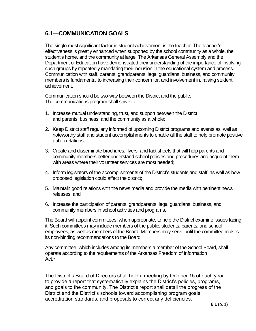## **6.1—COMMUNICATION GOALS**

The single most significant factor in student achievement is the teacher. The teacher's effectiveness is greatly enhanced when supported by the school community as a whole, the student's home, and the community at large. The Arkansas General Assembly and the Department of Education have demonstrated their understanding of the importance of involving such groups by repeatedly mandating their inclusion in the educational system and process. Communication with staff, parents, grandparents, legal guardians, business, and community members is fundamental to increasing their concern for, and involvement in, raising student achievement.

Communication should be two-way between the District and the public. The communications program shall strive to:

- 1. Increase mutual understanding, trust, and support between the District and parents, business, and the community as a whole;
- 2. Keep District staff regularly informed of upcoming District programs and events as well as noteworthy staff and student accomplishments to enable all the staff to help promote positive public relations;
- 3. Create and disseminate brochures, flyers, and fact sheets that will help parents and community members better understand school policies and procedures and acquaint them with areas where their volunteer services are most needed;
- 4. Inform legislators of the accomplishments of the District's students and staff, as well as how proposed legislation could affect the district;
- 5. Maintain good relations with the news media and provide the media with pertinent news releases; and
- 6. Increase the participation of parents, grandparents, legal guardians, business, and community members in school activities and programs.

The Board will appoint committees, when appropriate, to help the District examine issues facing it. Such committees may include members of the public, students, parents, and school employees, as well as members of the Board. Members may serve until the committee makes its non-binding recommendations to the Board.

Any committee, which includes among its members a member of the School Board, shall operate according to the requirements of the Arkansas Freedom of Information Act.\*

The District's Board of Directors shall hold a meeting by October 15 of each year to provide a report that systematically explains the District's policies, programs, and goals to the community. The District's report shall detail the progress of the District and the District's schools toward accomplishing program goals, accreditation standards, and proposals to correct any deficiencies.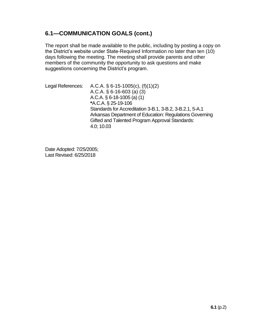## **6.1—COMMUNICATION GOALS (cont.)**

The report shall be made available to the public, including by posting a copy on the District's website under State-Required Information no later than ten (10) days following the meeting. The meeting shall provide parents and other members of the community the opportunity to ask questions and make suggestions concerning the District's program.

Legal References: A.C.A. § 6-15-1005(c), (f)(1)(2) A.C.A. § 6-16-603 (a) (3) A.C.A. § 6-18-1005 (a) (1) **\***A.C.A. § 25-19-106 Standards for Accreditation 3-B.1, 3-B.2, 3-B.2.1, 5-A.1 Arkansas Department of Education: Regulations Governing Gifted and Talented Program Approval Standards: 4.0; 10.03

Date Adopted: 7/25/2005; Last Revised: 6/25/2018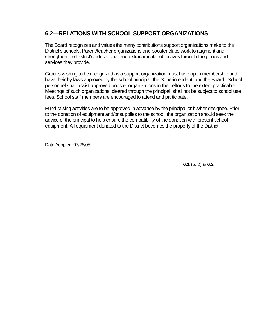## **6.2—RELATIONS WITH SCHOOL SUPPORT ORGANIZATIONS**

The Board recognizes and values the many contributions support organizations make to the District's schools. Parent/teacher organizations and booster clubs work to augment and strengthen the District's educational and extracurricular objectives through the goods and services they provide.

Groups wishing to be recognized as a support organization must have open membership and have their by-laws approved by the school principal, the Superintendent, and the Board. School personnel shall assist approved booster organizations in their efforts to the extent practicable. Meetings of such organizations, cleared through the principal, shall not be subject to school use fees. School staff members are encouraged to attend and participate.

Fund-raising activities are to be approved in advance by the principal or his/her designee. Prior to the donation of equipment and/or supplies to the school, the organization should seek the advice of the principal to help ensure the compatibility of the donation with present school equipment. All equipment donated to the District becomes the property of the District.

Date Adopted: 07/25/05

**6.1** (p. 2) & **6.2**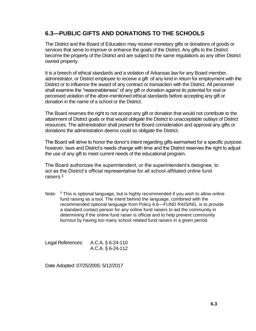## **6.3—PUBLIC GIFTS AND DONATIONS TO THE SCHOOLS**

The District and the Board of Education may receive monetary gifts or donations of goods or services that serve to improve or enhance the goals of the District. Any gifts to the District become the property of the District and are subject to the same regulations as any other District owned property.

It is a breech of ethical standards and a violation of Arkansas law for any Board member, administrator, or District employee to receive a gift of any kind in return for employment with the District or to influence the award of any contract or transaction with the District. All personnel shall examine the "reasonableness" of any gift or donation against its potential for real or perceived violation of the afore-mentioned ethical standards before accepting any gift or donation in the name of a school or the District.

The Board reserves the right to not accept any gift or donation that would not contribute to the attainment of District goals or that would obligate the District to unacceptable outlays of District resources. The administration shall present for Board consideration and approval any gifts or donations the administration deems could so obligate the District.

The Board will strive to honor the donor's intent regarding gifts earmarked for a specific purpose; however, laws and District's needs change with time and the District reserves the right to adjust the use of any gift to meet current needs of the educational program.

The Board authorizes the superintendent, or the superintendent's designee, to act as the District's official representative for all school-affiliated online fund raisers.**<sup>1</sup>**

Note: **<sup>1</sup>** This is optional language, but is highly recommended if you wish to allow online fund raising as a tool. The intent behind the language, combined with the recommended optional language from Policy 6.6—FUND RAISING, is to provide a standard contact person for any online fund raisers to aid the community in determining if the online fund raiser is official and to help prevent community burnout by having too many school related fund raisers in a given period.

| Legal References: | A.C.A. § 6-24-110 |
|-------------------|-------------------|
|                   | A.C.A. § 6-24-112 |

Date Adopted: 07/25/2005; 5/12/2017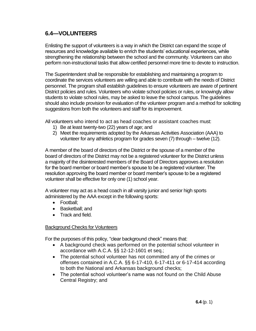## **6.4—VOLUNTEERS**

Enlisting the support of volunteers is a way in which the District can expand the scope of resources and knowledge available to enrich the students' educational experiences, while strengthening the relationship between the school and the community. Volunteers can also perform non-instructional tasks that allow certified personnel more time to devote to instruction.

The Superintendent shall be responsible for establishing and maintaining a program to coordinate the services volunteers are willing and able to contribute with the needs of District personnel. The program shall establish guidelines to ensure volunteers are aware of pertinent District policies and rules. Volunteers who violate school policies or rules, or knowingly allow students to violate school rules, may be asked to leave the school campus. The guidelines should also include provision for evaluation of the volunteer program and a method for soliciting suggestions from both the volunteers and staff for its improvement.

All volunteers who intend to act as head coaches or assistant coaches must:

- 1) Be at least twenty-two (22) years of age; and
- 2) Meet the requirements adopted by the Arkansas Activities Association (AAA) to volunteer for any athletics program for grades seven (7) through – twelve (12).

A member of the board of directors of the District or the spouse of a member of the board of directors of the District may not be a registered volunteer for the District unless a majority of the disinterested members of the Board of Directors approves a resolution for the board member or board member's spouse to be a registered volunteer. The resolution approving the board member or board member's spouse to be a registered volunteer shall be effective for only one (1) school year.

A volunteer may act as a head coach in all varsity junior and senior high sports administered by the AAA except in the following sports:

- Football;
- Basketball: and
- Track and field.

#### **Background Checks for Volunteers**

For the purposes of this policy, "clear background check" means that:

- A background check was performed on the potential school volunteer in accordance with A.C.A. §§ 12-12-1601 et seq.;
- The potential school volunteer has not committed any of the crimes or offenses contained in A.C.A. §§ 6-17-410, 6-17-411 or 6-17-414 according to both the National and Arkansas background checks;
- The potential school volunteer's name was not found on the Child Abuse Central Registry; and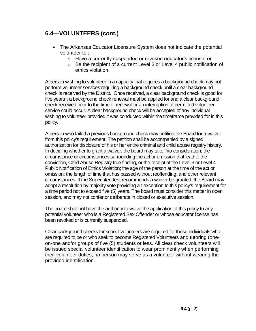## **6.4—VOLUNTEERS (cont.)**

- The Arkansas Educator Licensure System does not indicate the potential volunteer to :
	- o Have a currently suspended or revoked educator's license: or
	- o Be the recipient of a current Level 3 or Level 4 public notification of ethics violation.

A person wishing to volunteer in a capacity that requires a background check may not perform volunteer services requiring a background check until a clear background check is received by the District. Once received, a clear background check is good for five years**<sup>1</sup>** ; a background check renewal must be applied for and a clear background check received prior to the time of renewal or an interruption of permitted volunteer service could occur. A clear background check will be accepted of any individual wishing to volunteer provided it was conducted within the timeframe provided for in this policy.

A person who failed a previous background check may petition the Board for a waiver from this policy's requirement. The petition shall be accompanied by a signed authorization for disclosure of his or her entire criminal and child abuse registry history. In deciding whether to grant a waiver, the board may take into consideration; the circumstance or circumstances surrounding the act or omission that lead to the conviction, Child Abuse Registry true finding, or the receipt of the Level 3 or Level 4 Public Notification of Ethics Violation; the age of the person at the time of the act or omission; the length of time that has passed without reoffending; and other relevant circumstances. If the Superintendent recommends a waiver be granted, the Board may adopt a resolution by majority vote providing an exception to this policy's requirement for a time period not to exceed five (5) years. The board must consider this matter in open session, and may not confer or deliberate in closed or executive session.

The board shall not have the authority to waive the application of this policy to any potential volunteer who is a Registered Sex Offender or whose educator license has been revoked or is currently suspended.

Clear background checks for school volunteers are required for those individuals who are required to be or who seek to become Registered Volunteers and tutoring (oneon-one and/or groups of five (5) students or less. All clear check volunteers will be issued special volunteer identification to wear prominently when performing their volunteer duties; no person may serve as a volunteer without wearing the provided identification.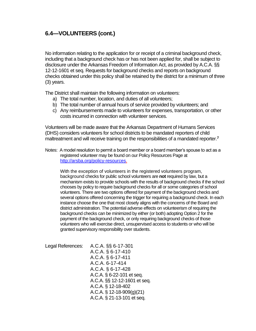## **6.4—VOLUNTEERS (cont.)**

No information relating to the application for or receipt of a criminal background check, including that a background check has or has not been applied for, shall be subject to disclosure under the Arkansas Freedom of Information Act, as provided by A.C.A. §§ 12-12-1601 et seq. Requests for background checks and reports on background checks obtained under this policy shall be retained by the district for a minimum of three (3) years.

The District shall maintain the following information on volunteers:

- a) The total number, location, and duties of all volunteers;
- b) The total number of annual hours of service provided by volunteers; and
- c) Any reimbursements made to volunteers for expenses, transportation, or other costs incurred in connection with volunteer services.

Volunteers will be made aware that the Arkansas Department of Humans Services (DHS) considers volunteers for school districts to be mandated reporters of child maltreatment and will receive training on the responsibilities of a mandated reporter.**<sup>7</sup>**

Notes: A model resolution to permit a board member or a board member's spouse to act as a registered volunteer may be found on our Policy Resources Page at [http://arsba.org/policy-resources.](http://arsba.org/policy-resources)

With the exception of volunteers in the registered volunteers program, background checks for public school volunteers are **not** required by law, but a mechanism exists to provide schools with the results of background checks if the school chooses by policy to require background checks for all or some categories of school volunteers. There are two options offered for payment of the background checks and several options offered concerning the trigger for requiring a background check. In each instance choose the one that most closely aligns with the concerns of the Board and district administration. The potential adverse effects on volunteerism of requiring the background checks can be minimized by either (or both) adopting Option 2 for the payment of the background check, or only requiring background checks of those volunteers who will exercise direct, unsupervised access to students or who will be granted supervisory responsibility over students.

Legal References: A.C.A. §§ 6-17-301 A.C.A. § 6-17-410 A.C.A. § 6-17-411 A.C.A. 6-17-414 A.C.A. § 6-17-428 A.C.A. § 6-22-101 et seq. A.C.A. §§ 12-12-1601 et seq. A.C.A. § 12-18-402 A.C.A. § 12-18-909(g)(21) A.C.A. § 21-13-101 et seq.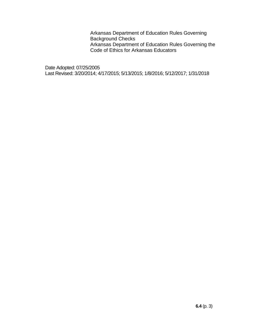Arkansas Department of Education Rules Governing Background Checks Arkansas Department of Education Rules Governing the Code of Ethics for Arkansas Educators

Date Adopted: 07/25/2005 Last Revised: 3/20/2014; 4/17/2015; 5/13/2015; 1/8/2016; 5/12/2017; 1/31/2018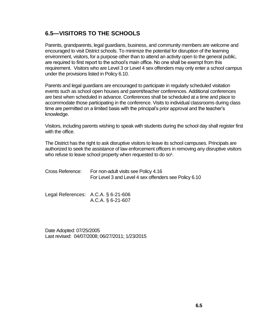## **6.5—VISITORS TO THE SCHOOLS**

Parents, grandparents, legal guardians, business, and community members are welcome and encouraged to visit District schools. To minimize the potential for disruption of the learning environment, visitors, for a purpose other than to attend an activity open to the general public, are required to first report to the school's main office. No one shall be exempt from this requirement. Visitors who are Level 3 or Level 4 sex offenders may only enter a school campus under the provisions listed in Policy 6.10.

Parents and legal guardians are encouraged to participate in regularly scheduled visitation events such as school open houses and parent/teacher conferences. Additional conferences are best when scheduled in advance. Conferences shall be scheduled at a time and place to accommodate those participating in the conference. Visits to individual classrooms during class time are permitted on a limited basis with the principal's prior approval and the teacher's knowledge.

Visitors, including parents wishing to speak with students during the school day shall register first with the office.

The District has the right to ask disruptive visitors to leave its school campuses. Principals are authorized to seek the assistance of law enforcement officers in removing any disruptive visitors who refuse to leave school property when requested to do  $so<sup>1</sup>$ .

| Cross Reference: | For non-adult visits see Policy 4.16                  |  |
|------------------|-------------------------------------------------------|--|
|                  | For Level 3 and Level 4 sex offenders see Policy 6.10 |  |
|                  |                                                       |  |

| Legal References: $A.C.A.$ § 6-21-606 |
|---------------------------------------|
| A.C.A. $\S$ 6-21-607                  |

Date Adopted: 07/25/2005 Last revised: 04/07/2008; 06/27/2011; 1/23/2015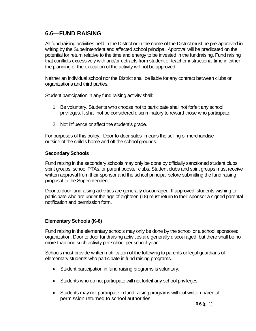## **6.6—FUND RAISING**

All fund raising activities held in the District or in the name of the District must be pre-approved in writing by the Superintendent and affected school principal. Approval will be predicated on the potential for return relative to the time and energy to be invested in the fundraising. Fund raising that conflicts excessively with and/or detracts from student or teacher instructional time in either the planning or the execution of the activity will not be approved.

Neither an individual school nor the District shall be liable for any contract between clubs or organizations and third parties.

Student participation in any fund raising activity shall:

- 1. Be voluntary. Students who choose not to participate shall not forfeit any school privileges. It shall not be considered discriminatory to reward those who participate;
- 2. Not influence or affect the student's grade.

For purposes of this policy, "Door-to-door sales" means the selling of merchandise outside of the child's home and off the school grounds.

#### **Secondary Schools**

Fund raising in the secondary schools may only be done by officially sanctioned student clubs, spirit groups, school PTAs, or parent booster clubs. Student clubs and spirit groups must receive written approval from their sponsor and the school principal before submitting the fund raising proposal to the Superintendent.

Door to door fundraising activities are generally discouraged. If approved, students wishing to participate who are under the age of eighteen (18) must return to their sponsor a signed parental notification and permission form.

#### **Elementary Schools (K-6)**

Fund raising in the elementary schools may only be done by the school or a school sponsored organization. Door to door fundraising activities are generally discouraged, but there shall be no more than one such activity per school per school year.

Schools must provide written notification of the following to parents or legal guardians of elementary students who participate in fund raising programs.

- Student participation in fund raising programs is voluntary;
- Students who do not participate will not forfeit any school privileges;
- Students may not participate in fund raising programs without written parental permission returned to school authorities;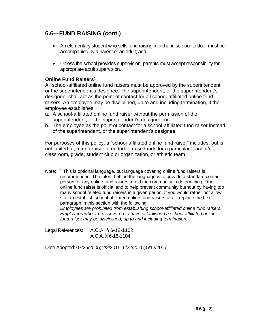## **6.6—FUND RAISING (cont.)**

- An elementary student who sells fund raising merchandise door to door must be accompanied by a parent or an adult; and
- Unless the school provides supervision, parents must accept responsibility for appropriate adult supervision.

#### **Online Fund Raisers<sup>1</sup>**

All school-affiliated online fund raisers must be approved by the superintendent, or the superintendent's designee. The superintendent, or the superintendent's designee, shall act as the point of contact for all school-affiliated online fund raisers. An employee may be disciplined, up to and including termination, if the employee establishes:

- a. A school-affiliated online fund raiser without the permission of the superintendent, or the superintendent's designee; or
- b. The employee as the point of contact for a school-affiliated fund raiser instead of the superintendent, or the superintendent's designee.

For purposes of this policy, a "school-affiliated online fund raiser" includes, but is not limited to, a fund raiser intended to raise funds for a particular teacher's classroom, grade, student club or organization, or athletic team.

Note: <sup>1</sup> This is optional language, but language covering online fund raisers is recommended. The intent behind the language is to provide a standard contact person for any online fund raisers to aid the community in determining if the online fund raiser is official and to help prevent community burnout by having too many school related fund raisers in a given period. If you would rather not allow staff to establish school-affiliated online fund raisers at all, replace the first paragraph in this section with the following:

*Employees are prohibited from establishing school-affiliated online fund raisers. Employees who are discovered to have established a school-affiliated online fund raiser may be disciplined, up to and including termination.*

Legal References: A.C.A. § 6-18-1102 A.C.A. § 6-18-1104

Date Adopted: 07/25/2005; 2/2/2015; 6/22/2015; 5/12/2017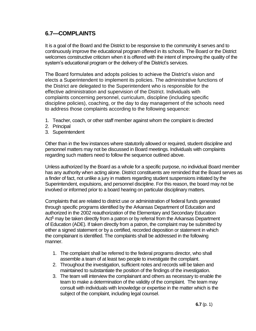## **6.7—COMPLAINTS**

It is a goal of the Board and the District to be responsive to the community it serves and to continuously improve the educational program offered in its schools. The Board or the District welcomes constructive criticism when it is offered with the intent of improving the quality of the system's educational program or the delivery of the District's services.

The Board formulates and adopts policies to achieve the District's vision and elects a Superintendent to implement its policies. The administrative functions of the District are delegated to the Superintendent who is responsible for the effective administration and supervision of the District. Individuals with complaints concerning personnel, curriculum, discipline (including specific discipline policies), coaching, or the day to day management of the schools need to address those complaints according to the following sequence:

- 1. Teacher, coach, or other staff member against whom the complaint is directed
- 2. Principal
- 3. Superintendent

Other than in the few instances where statutorily allowed or required, student discipline and personnel matters may not be discussed in Board meetings. Individuals with complaints regarding such matters need to follow the sequence outlined above.

Unless authorized by the Board as a whole for a specific purpose, no individual Board member has any authority when acting alone. District constituents are reminded that the Board serves as a finder of fact, not unlike a jury in matters regarding student suspensions initiated by the Superintendent, expulsions, and personnel discipline. For this reason, the board may not be involved or informed prior to a board hearing on particular disciplinary matters.

Complaints that are related to district use or administration of federal funds generated through specific programs identified by the Arkansas Department of Education and authorized in the 2002 reauthorization of the Elementary and Secondary Education Act**<sup>1</sup>** may be taken directly from a patron or by referral from the Arkansas Department of Education (ADE). If taken directly from a patron, the complaint may be submitted by either a signed statement or by a certified, recorded deposition or statement in which the complainant is identified. The complaints shall be addressed in the following manner.

- 1. The complaint shall be referred to the federal programs director, who shall assemble a team of at least two people to investigate the complaint.
- 2. Throughout the investigation, sufficient notes and records will be taken and maintained to substantiate the position of the findings of the investigation.
- 3. The team will interview the complainant and others as necessary to enable the team to make a determination of the validity of the complaint. The team may consult with individuals with knowledge or expertise in the matter which is the subject of the complaint, including legal counsel.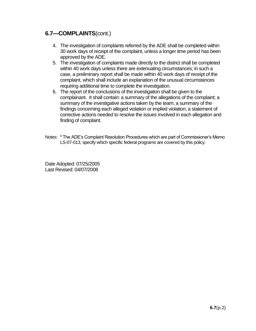### **6.7—COMPLAINTS**(cont.)

- 4. The investigation of complaints referred by the ADE shall be completed within 30 work days of receipt of the complaint, unless a longer time period has been approved by the ADE.
- 5. The investigation of complaints made directly to the district shall be completed within 40 work days unless there are extenuating circumstances; in such a case, a preliminary report shall be made within 40 work days of receipt of the complaint, which shall include an explanation of the unusual circumstances requiring additional time to complete the investigation.
- 6. The report of the conclusions of the investigation shall be given to the complainant. It shall contain: a summary of the allegations of the complaint; a summary of the investigative actions taken by the team; a summary of the findings concerning each alleged violation or implied violation; a statement of corrective actions needed to resolve the issues involved in each allegation and finding of complaint.
- Notes: **<sup>1</sup>** The ADE's Complaint Resolution Procedures which are part of Commissioner's Memo LS-07-013, specify which specific federal programs are covered by this policy.

Date Adopted: 07/25/2005 Last Revised: 04/07/2008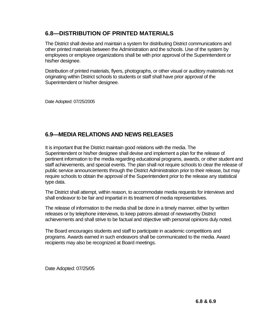## **6.8—DISTRIBUTION OF PRINTED MATERIALS**

The District shall devise and maintain a system for distributing District communications and other printed materials between the Administration and the schools. Use of the system by employees or employee organizations shall be with prior approval of the Superintendent or his/her designee.

Distribution of printed materials, flyers, photographs, or other visual or auditory materials not originating within District schools to students or staff shall have prior approval of the Superintendent or his/her designee.

Date Adopted: 07/25/2005

## **6.9—MEDIA RELATIONS AND NEWS RELEASES**

It is important that the District maintain good relations with the media. The Superintendent or his/her designee shall devise and implement a plan for the release of pertinent information to the media regarding educational programs, awards, or other student and staff achievements, and special events. The plan shall not require schools to clear the release of public service announcements through the District Administration prior to their release, but may require schools to obtain the approval of the Superintendent prior to the release any statistical type data.

The District shall attempt, within reason, to accommodate media requests for interviews and shall endeavor to be fair and impartial in its treatment of media representatives.

The release of information to the media shall be done in a timely manner, either by written releases or by telephone interviews, to keep patrons abreast of newsworthy District achievements and shall strive to be factual and objective with personal opinions duly noted.

The Board encourages students and staff to participate in academic competitions and programs. Awards earned in such endeavors shall be communicated to the media. Award recipients may also be recognized at Board meetings.

Date Adopted: 07/25/05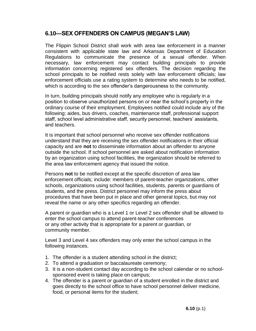## **6.10—SEX OFFENDERS ON CAMPUS (MEGAN'S LAW)**

The Flippin School District shall work with area law enforcement in a manner consistent with applicable state law and Arkansas Department of Education Regulations to communicate the presence of a sexual offender. When necessary, law enforcement may contact building principals to provide information concerning registered sex offenders. The decision regarding the school principals to be notified rests solely with law enforcement officials; law enforcement officials use a rating system to determine who needs to be notified, which is according to the sex offender's dangerousness to the community.

In turn, building principals should notify any employee who is regularly in a position to observe unauthorized persons on or near the school's property in the ordinary course of their employment. Employees notified could include any of the following: aides, bus drivers, coaches, maintenance staff, professional support staff, school level administrative staff, security personnel, teachers' assistants, and teachers.

It is important that school personnel who receive sex offender notifications understand that they are receiving the sex offender notifications in their official capacity and are **not** to disseminate information about an offender to anyone outside the school. If school personnel are asked about notification information by an organization using school facilities, the organization should be referred to the area law enforcement agency that issued the notice.

Persons **not** to be notified except at the specific discretion of area law enforcement officials; include: members of parent-teacher organizations, other schools, organizations using school facilities, students, parents or guardians of students, and the press. District personnel may inform the press about procedures that have been put in place and other general topics, but may not reveal the name or any other specifics regarding an offender.

A parent or guardian who is a Level 1 or Level 2 sex offender shall be allowed to enter the school campus to attend parent-teacher conferences or any other activity that is appropriate for a parent or guardian, or community member.

Level 3 and Level 4 sex offenders may only enter the school campus in the following instances.

- 1. The offender is a student attending school in the district;
- 2. To attend a graduation or baccalaureate ceremony;
- 3. It is a non-student contact day according to the school calendar or no schoolsponsored event is taking place on campus;
- 4. The offender is a parent or guardian of a student enrolled in the district and goes directly to the school office to have school personnel deliver medicine, food, or personal items for the student;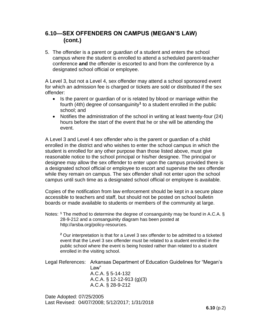## **6.10—SEX OFFENDERS ON CAMPUS (MEGAN'S LAW) (cont.)**

5. The offender is a parent or guardian of a student and enters the school campus where the student is enrolled to attend a scheduled parent-teacher conference **and** the offender is escorted to and from the conference by a designated school official or employee.

A Level 3, but not a Level 4, sex offender may attend a school sponsored event for which an admission fee is charged or tickets are sold or distributed if the sex offender:

- Is the parent or guardian of or is related by blood or marriage within the fourth (4th) degree of consanguinity**<sup>1</sup>** to a student enrolled in the public school; and
- Notifies the administration of the school in writing at least twenty-four (24) hours before the start of the event that he or she will be attending the event.

A Level 3 and Level 4 sex offender who is the parent or guardian of a child enrolled in the district and who wishes to enter the school campus in which the student is enrolled for any other purpose than those listed above, must give reasonable notice to the school principal or his/her designee. The principal or designee may allow the sex offender to enter upon the campus provided there is a designated school official or employee to escort and supervise the sex offender while they remain on campus. The sex offender shall not enter upon the school campus until such time as a designated school official or employee is available.

Copies of the notification from law enforcement should be kept in a secure place accessible to teachers and staff, but should not be posted on school bulletin boards or made available to students or members of the community at large.

Notes: <sup>1</sup> The method to determine the degree of consanguinity may be found in A.C.A. § 28-9-212 and a consanguinity diagram has been posted at [http://arsba.org/policy-resources.](http://arsba.org/policy-resources)

**<sup>2</sup>** Our interpretation is that for a Level 3 sex offender to be admitted to a ticketed event that the Level 3 sex offender must be related to a student enrolled in the public school where the event is being hosted rather than related to a student enrolled in the visiting school.

Legal References: Arkansas Department of Education Guidelines for "Megan's Law"

A.C.A. § 5-14-132 A.C.A. § 12-12-913 (g)(3) A.C.A. § 28-9-212

Date Adopted: 07/25/2005 Last Revised: 04/07/2008; 5/12/2017; 1/31/2018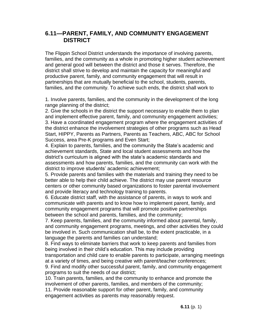## **6.11—PARENT, FAMILY, AND COMMUNITY ENGAGEMENT DISTRICT**

The Flippin School District understands the importance of involving parents, families, and the community as a whole in promoting higher student achievement and general good will between the district and those it serves. Therefore, the district shall strive to develop and maintain the capacity for meaningful and productive parent, family, and community engagement that will result in partnerships that are mutually beneficial to the school, students, parents, families, and the community. To achieve such ends, the district shall work to

1. Involve parents, families, and the community in the development of the long range planning of the district;

2. Give the schools in the district the support necessary to enable them to plan and implement effective parent, family, and community engagement activities; 3. Have a coordinated engagement program where the engagement activities of the district enhance the involvement strategies of other programs such as Head Start, HIPPY, Parents as Partners, Parents as Teachers, ABC, ABC for School Success, area Pre-K programs and Even Start;

4. Explain to parents, families, and the community the State's academic and achievement standards, State and local student assessments and how the district's curriculum is aligned with the state's academic standards and assessments and how parents, families, and the community can work with the district to improve students' academic achievement;

5. Provide parents and families with the materials and training they need to be better able to help their child achieve. The district may use parent resource centers or other community based organizations to foster parental involvement and provide literacy and technology training to parents.

6. Educate district staff, with the assistance of parents, in ways to work and communicate with parents and to know how to implement parent, family, and community engagement programs that will promote positive partnerships between the school and parents, families, and the community;

7. Keep parents, families, and the community informed about parental, family, and community engagement programs, meetings, and other activities they could be involved in. Such communication shall be, to the extent practicable, in a language the parents and families can understand;

8. Find ways to eliminate barriers that work to keep parents and families from being involved in their child's education. This may include providing transportation and child care to enable parents to participate, arranging meetings at a variety of times, and being creative with parent/teacher conferences;

9. Find and modify other successful parent, family, and community engagement programs to suit the needs of our district;

10. Train parents, families, and the community to enhance and promote the involvement of other parents, families, and members of the community;

11. Provide reasonable support for other parent, family, and community engagement activities as parents may reasonably request.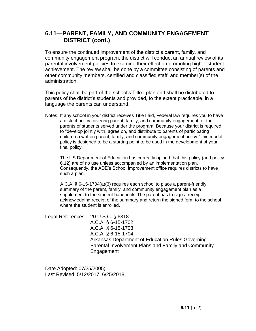## **6.11—PARENT, FAMILY, AND COMMUNITY ENGAGEMENT DISTRICT (cont.)**

To ensure the continued improvement of the district's parent, family, and community engagement program, the district will conduct an annual review of its parental involvement policies to examine their effect on promoting higher student achievement. The review shall be done by a committee consisting of parents and other community members, certified and classified staff, and member(s) of the administration.

This policy shall be part of the school's Title I plan and shall be distributed to parents of the district's students and provided, to the extent practicable, in a language the parents can understand.

Notes: If any school in your district receives Title I aid, Federal law requires you to have a district policy covering parent, family, and community engagement for the parents of students served under the program. Because your district is required to "develop jointly with, agree on, and distribute to parents of participating children a written parent, family, and community engagement policy," this model policy is designed to be a starting point to be used in the development of your final policy.

The US Department of Education has correctly opined that this policy (and policy 6.12) are of no use unless accompanied by an implementation plan. Consequently, the ADE's School Improvement office requires districts to have such a plan.

A.C.A. § 6-15-1704(a)(3) requires each school to place a parent-friendly summary of the parent, family, and community engagement plan as a supplement to the student handbook. The parent has to sign a receipt acknowledging receipt of the summary and return the signed form to the school where the student is enrolled.

Legal References: 20 U.S.C. § 6318 A.C.A. § 6-15-1702 A.C.A. § 6-15-1703 A.C.A. § 6-15-1704 Arkansas Department of Education Rules Governing Parental Involvement Plans and Family and Community Engagement

Date Adopted: 07/25/2005; Last Revised: 5/12/2017; 6/25/2018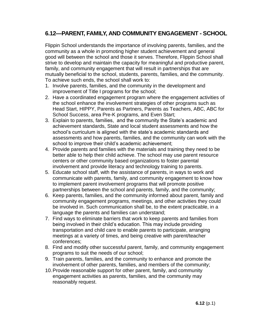## **6.12—PARENT, FAMILY, AND COMMUNITY ENGAGEMENT - SCHOOL**

Flippin School understands the importance of involving parents, families, and the community as a whole in promoting higher student achievement and general good will between the school and those it serves. Therefore, Flippin School shall strive to develop and maintain the capacity for meaningful and productive parent, family, and community engagement that will result in partnerships that are mutually beneficial to the school, students, parents, families, and the community. To achieve such ends, the school shall work to:

- 1. Involve parents, families, and the community in the development and improvement of Title I programs for the school;
- 2. Have a coordinated engagement program where the engagement activities of the school enhance the involvement strategies of other programs such as Head Start, HIPPY, Parents as Partners, Parents as Teachers, ABC, ABC for School Success, area Pre-K programs, and Even Start;
- 3. Explain to parents, families, and the community the State's academic and achievement standards, State and local student assessments and how the school's curriculum is aligned with the state's academic standards and assessments and how parents, families, and the community can work with the school to improve their child's academic achievement;
- 4. Provide parents and families with the materials and training they need to be better able to help their child achieve. The school may use parent resource centers or other community based organizations to foster parental involvement and provide literacy and technology training to parents.
- 5. Educate school staff, with the assistance of parents, in ways to work and communicate with parents, family, and community engagement to know how to implement parent involvement programs that will promote positive partnerships between the school and parents, family, and the community;
- 6. Keep parents, families, and the community informed about parent, family and community engagement programs, meetings, and other activities they could be involved in. Such communication shall be, to the extent practicable, in a language the parents and families can understand;
- 7. Find ways to eliminate barriers that work to keep parents and families from being involved in their child's education. This may include providing transportation and child care to enable parents to participate, arranging meetings at a variety of times, and being creative with parent/teacher conferences;
- 8. Find and modify other successful parent, family, and community engagement programs to suit the needs of our school;
- 9. Train parents, families, and the community to enhance and promote the involvement of other parents, families, and members of the community;
- 10.Provide reasonable support for other parent, family, and community engagement activities as parents, families, and the community may reasonably request.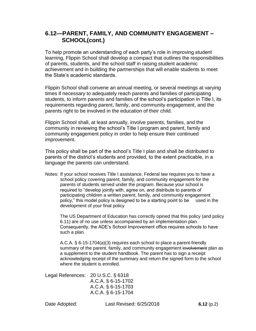## **6.12—PARENT, FAMILY, AND COMMUNITY ENGAGEMENT – SCHOOL(cont.)**

To help promote an understanding of each party's role in improving student learning, Flippin School shall develop a compact that outlines the responsibilities of parents, students, and the school staff in raising student academic achievement and in building the partnerships that will enable students to meet the State's academic standards.

Flippin School shall convene an annual meeting, or several meetings at varying times if necessary to adequately reach parents and families of participating students, to inform parents and families of the school's participation in Title I, its requirements regarding parent, family, and community engagement, and the parents right to be involved in the education of their child.

Flippin School shall, at least annually, involve parents, families, and the community in reviewing the school's Title I program and parent, family and community engagement policy in order to help ensure their continued improvement.

This policy shall be part of the school's Title I plan and shall be distributed to parents of the district's students and provided, to the extent practicable, in a language the parents can understand.

Notes: If your school receives Title I assistance, Federal law requires you to have a school policy covering parent, family, and community engagement for the parents of students served under the program. Because your school is required to "develop jointly with, agree on, and distribute to parents of participating children a written parent, family, and community engagement policy," this model policy is designed to be a starting point to be used in the development of your final policy

The US Department of Education has correctly opined that this policy (and policy 6.11) are of no use unless accompanied by an implementation plan. Consequently, the ADE's School Improvement office requires schools to have such a plan.

A.C.A. § 6-15-1704(a)(3) requires each school to place a parent-friendly summary of the parent, family, and community engagement involvement plan as a supplement to the student handbook. The parent has to sign a receipt acknowledging receipt of the summary and return the signed form to the school where the student is enrolled.

Legal References: 20 U.S.C. § 6318 A.C.A. § 6-15-1702 A.C.A. § 6-15-1703 A.C.A. § 6-15-1704

Date Adopted: Last Revised: 6/25/2018 **6.12** (p.2)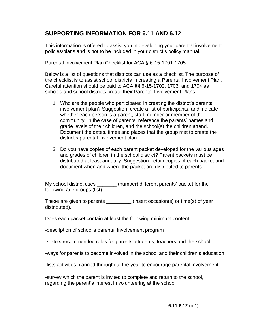## **SUPPORTING INFORMATION FOR 6.11 AND 6.12**

This information is offered to assist you in developing your parental involvement policies/plans and is not to be included in your district's policy manual.

Parental Involvement Plan Checklist for ACA § 6-15-1701-1705

Below is a list of questions that districts can use as a checklist. The purpose of the checklist is to assist school districts in creating a Parental Involvement Plan. Careful attention should be paid to ACA §§ 6-15-1702, 1703, and 1704 as schools and school districts create their Parental Involvement Plans.

- 1. Who are the people who participated in creating the district's parental involvement plan? Suggestion: create a list of participants, and indicate whether each person is a parent, staff member or member of the community. In the case of parents, reference the parents' names and grade levels of their children, and the school(s) the children attend. Document the dates, times and places that the group met to create the district's parental involvement plan.
- 2. Do you have copies of each parent packet developed for the various ages and grades of children in the school district? Parent packets must be distributed at least annually. Suggestion: retain copies of each packet and document when and where the packet are distributed to parents.

My school district uses \_\_\_\_\_\_\_\_ (number) different parents' packet for the following age groups (list).

These are given to parents \_\_\_\_\_\_\_\_\_ (insert occasion(s) or time(s) of year distributed).

Does each packet contain at least the following minimum content:

-description of school's parental involvement program

-state's recommended roles for parents, students, teachers and the school

-ways for parents to become involved in the school and their children's education

-lists activities planned throughout the year to encourage parental involvement

-survey which the parent is invited to complete and return to the school, regarding the parent's interest in volunteering at the school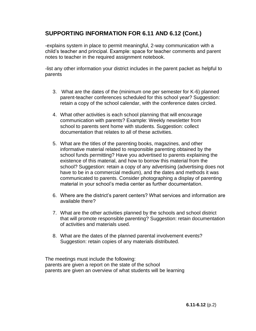## **SUPPORTING INFORMATION FOR 6.11 AND 6.12 (Cont.)**

-explains system in place to permit meaningful, 2-way communication with a child's teacher and principal. Example: space for teacher comments and parent notes to teacher in the required assignment notebook.

-list any other information your district includes in the parent packet as helpful to parents

- 3. What are the dates of the (minimum one per semester for K-6) planned parent-teacher conferences scheduled for this school year? Suggestion: retain a copy of the school calendar, with the conference dates circled.
- 4. What other activities is each school planning that will encourage communication with parents? Example: Weekly newsletter from school to parents sent home with students. Suggestion: collect documentation that relates to all of these activities.
- 5. What are the titles of the parenting books, magazines, and other informative material related to responsible parenting obtained by the school funds permitting? Have you advertised to parents explaining the existence of this material, and how to borrow this material from the school? Suggestion: retain a copy of any advertising (advertising does not have to be in a commercial medium), and the dates and methods it was communicated to parents. Consider photographing a display of parenting material in your school's media center as further documentation.
- 6. Where are the district's parent centers? What services and information are available there?
- 7. What are the other activities planned by the schools and school district that will promote responsible parenting? Suggestion: retain documentation of activities and materials used.
- 8. What are the dates of the planned parental involvement events? Suggestion: retain copies of any materials distributed.

The meetings must include the following: parents are given a report on the state of the school parents are given an overview of what students will be learning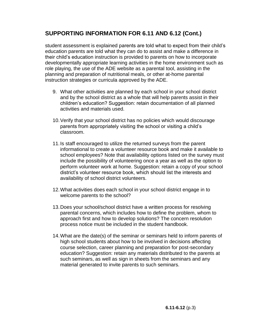## **SUPPORTING INFORMATION FOR 6.11 AND 6.12 (Cont.)**

student assessment is explained parents are told what to expect from their child's education parents are told what they can do to assist and make a difference in their child's education instruction is provided to parents on how to incorporate developmentally appropriate learning activities in the home environment such as role playing, the use of the ADE website as a parental tool, assisting in the planning and preparation of nutritional meals, or other at-home parental instruction strategies or curricula approved by the ADE.

- 9. What other activities are planned by each school in your school district and by the school district as a whole that will help parents assist in their children's education? Suggestion: retain documentation of all planned activities and materials used.
- 10.Verify that your school district has no policies which would discourage parents from appropriately visiting the school or visiting a child's classroom.
- 11.Is staff encouraged to utilize the returned surveys from the parent informational to create a volunteer resource book and make it available to school employees? Note that availability options listed on the survey must include the possibility of volunteering once a year as well as the option to perform volunteer work at home. Suggestion: retain a copy of your school district's volunteer resource book, which should list the interests and availability of school district volunteers.
- 12.What activities does each school in your school district engage in to welcome parents to the school?
- 13.Does your school/school district have a written process for resolving parental concerns, which includes how to define the problem, whom to approach first and how to develop solutions? The concern resolution process notice must be included in the student handbook.
- 14.What are the date(s) of the seminar or seminars held to inform parents of high school students about how to be involved in decisions affecting course selection, career planning and preparation for post-secondary education? Suggestion: retain any materials distributed to the parents at such seminars, as well as sign in sheets from the seminars and any material generated to invite parents to such seminars.